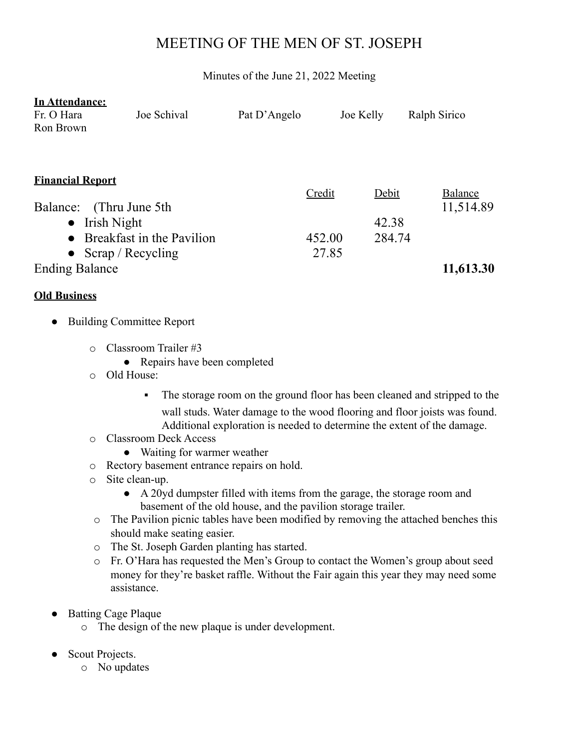# MEETING OF THE MEN OF ST. JOSEPH

Minutes of the June 21, 2022 Meeting

| In Attendance:              |                           |              |        |           |                |
|-----------------------------|---------------------------|--------------|--------|-----------|----------------|
| Fr. O Hara                  | Joe Schival               | Pat D'Angelo |        | Joe Kelly | Ralph Sirico   |
| Ron Brown                   |                           |              |        |           |                |
|                             |                           |              |        |           |                |
|                             |                           |              |        |           |                |
| <b>Financial Report</b>     |                           |              |        |           |                |
|                             |                           |              | Credit | Debit     | <b>Balance</b> |
| (Thru June 5th)<br>Balance: |                           |              |        |           | 11,514.89      |
| $\bullet$ Irish Night       |                           |              |        | 42.38     |                |
| $\bullet$                   | Breakfast in the Pavilion |              | 452.00 | 284.74    |                |
| • Scrap / Recycling         |                           |              | 27.85  |           |                |
| <b>Ending Balance</b>       |                           |              |        |           | 11,613.30      |

### **Old Business**

### **Building Committee Report**

- o Classroom Trailer #3
	- Repairs have been completed
- o Old House:
	- The storage room on the ground floor has been cleaned and stripped to the wall studs. Water damage to the wood flooring and floor joists was found. Additional exploration is needed to determine the extent of the damage.
- o Classroom Deck Access
	- Waiting for warmer weather
- o Rectory basement entrance repairs on hold.
- o Site clean-up.
	- A 20yd dumpster filled with items from the garage, the storage room and basement of the old house, and the pavilion storage trailer.
- o The Pavilion picnic tables have been modified by removing the attached benches this should make seating easier.
- o The St. Joseph Garden planting has started.
- o Fr. O'Hara has requested the Men's Group to contact the Women's group about seed money for they're basket raffle. Without the Fair again this year they may need some assistance.
- **Batting Cage Plaque** 
	- o The design of the new plaque is under development.
- Scout Projects.
	- o No updates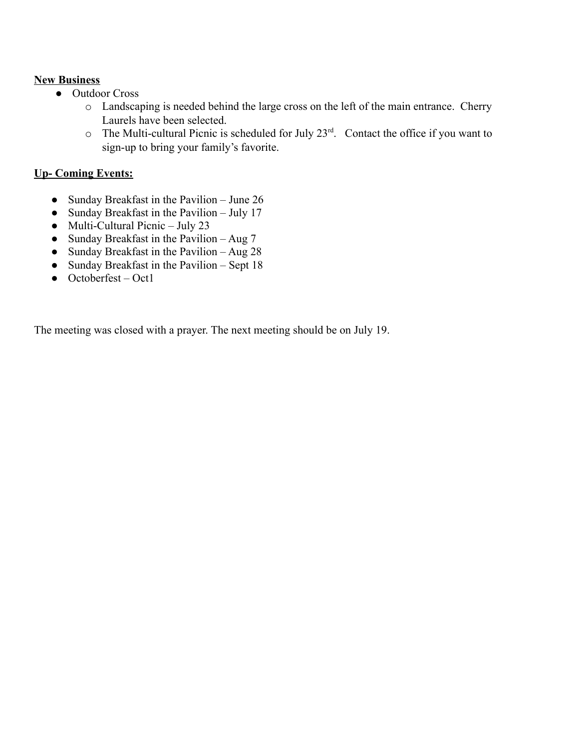### **New Business**

- Outdoor Cross
	- o Landscaping is needed behind the large cross on the left of the main entrance. Cherry Laurels have been selected.
	- $\circ$  The Multi-cultural Picnic is scheduled for July 23<sup>rd</sup>. Contact the office if you want to sign-up to bring your family's favorite.

## **Up- Coming Events:**

- Sunday Breakfast in the Pavilion June 26
- Sunday Breakfast in the Pavilion July 17
- $\bullet$  Multi-Cultural Picnic July 23
- Sunday Breakfast in the Pavilion Aug  $7$
- Sunday Breakfast in the Pavilion Aug  $28$
- Sunday Breakfast in the Pavilion Sept 18
- $\bullet$  Octoberfest Oct1

The meeting was closed with a prayer. The next meeting should be on July 19.